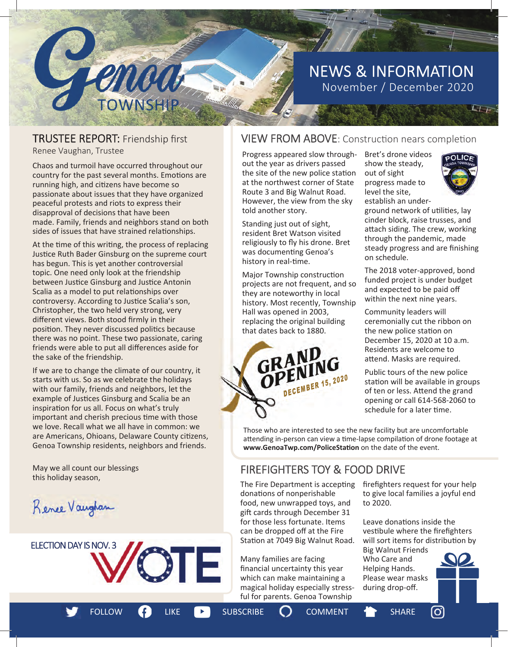# NEWS & INFORMATION November / December 2020

# TRUSTEE REPORT: Friendship first<br>Renee Vaughan, Trustee

enca

Chaos and turmoil have occurred throughout our country for the past several months. Emotions are running high, and citizens have become so passionate about issues that they have organized peaceful protests and riots to express their disapproval of decisions that have been made. Family, friends and neighbors stand on both sides of issues that have strained relationships.

At the time of this writing, the process of replacing Justice Ruth Bader Ginsburg on the supreme court has begun. This is yet another controversial topic. One need only look at the friendship between Justice Ginsburg and Justice Antonin Scalia as a model to put relationships over controversy. According to Justice Scalia's son, Christopher, the two held very strong, very different views. Both stood firmly in their position. They never discussed politics because there was no point. These two passionate, caring friends were able to put all differences aside for the sake of the friendship.

If we are to change the climate of our country, it starts with us. So as we celebrate the holidays with our family, friends and neighbors, let the example of Justices Ginsburg and Scalia be an inspiration for us all. Focus on what's truly important and cherish precious time with those we love. Recall what we all have in common: we are Americans, Ohioans, Delaware County citizens, Genoa Township residents, neighbors and friends.

May we all count our blessings this holiday season,

Rence Vaughan



# VIEW FROM ABOVE: Construction nears completion

Progress appeared slow throughout the year as drivers passed the site of the new police station at the northwest corner of State Route 3 and Big Walnut Road. However, the view from the sky told another story.

Standing just out of sight, resident Bret Watson visited religiously to fly his drone. Bret was documenting Genoa's history in real-time.

Major Township construction projects are not frequent, and so they are noteworthy in local history. Most recently, Township Hall was opened in 2003, replacing the original building that dates back to 1880.



Bret's drone videos show the steady, out of sight progress made to level the site, establish an under-



 $L_{\text{LT}}$ 

ground network of utilities, lay cinder block, raise trusses, and attach siding. The crew, working through the pandemic, made steady progress and are finishing on schedule.

The 2018 voter-approved, bond funded project is under budget and expected to be paid off within the next nine years.

Community leaders will ceremonially cut the ribbon on the new police station on December 15, 2020 at 10 a.m. Residents are welcome to attend. Masks are required.

Public tours of the new police station will be available in groups of ten or less. Attend the grand opening or call 614-568-2060 to schedule for a later time.

Those who are interested to see the new facility but are uncomfortable attending in-person can view a time-lapse compilation of drone footage at **www.GenoaTwp.com/PoliceStaƟon** on the date of the event.

#### FIREFIGHTERS TOY & FOOD DRIVE

donations of nonperishable food, new unwrapped toys, and gift cards through December 31 for those less fortunate. Items can be dropped off at the Fire Station at 7049 Big Walnut Road.

Many families are facing financial uncertainty this year which can make maintaining a magical holiday especially stressful for parents. Genoa Township

The Fire Department is accepting firefighters request for your help to give local families a joyful end to 2020.

> Leave donations inside the vestibule where the firefighters will sort items for distribution by Big Walnut Friends Who Care and Helping Hands. Please wear masks during drop-off.

> > lO.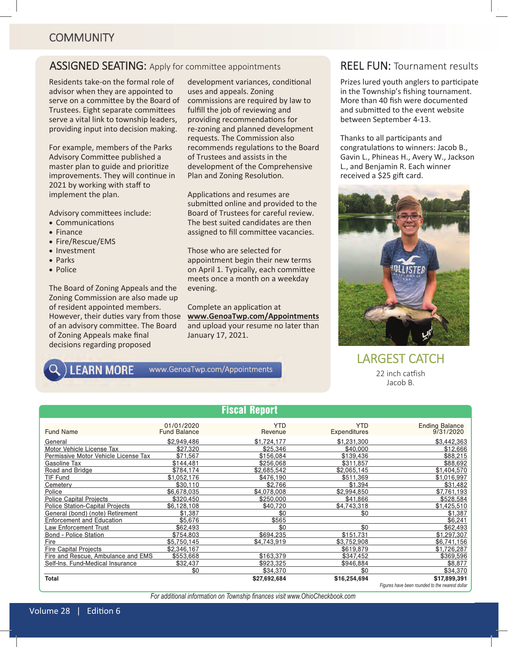### ASSIGNED SEATING: Apply for committee appointments

Residents take-on the formal role of advisor when they are appointed to serve on a committee by the Board of Trustees. Eight separate committees serve a vital link to township leaders, providing input into decision making.

For example, members of the Parks Advisory Committee published a master plan to guide and prioritize improvements. They will continue in 2021 by working with staff to implement the plan.

Advisory committees include:

- Communications
- $\bullet$  Finance
- Fire/Rescue/EMS
- Investment
- $\bullet$  Parks
- Police

The Board of Zoning Appeals and the Zoning Commission are also made up of resident appointed members. However, their duties vary from those of an advisory committee. The Board of Zoning Appeals make final decisions regarding proposed

development variances, conditional uses and appeals. Zoning commissions are required by law to fulfill the job of reviewing and providing recommendations for re-zoning and planned development requests. The Commission also recommends regulations to the Board of Trustees and assists in the development of the Comprehensive Plan and Zoning Resolution.

Applications and resumes are submitted online and provided to the Board of Trustees for careful review. The best suited candidates are then assigned to fill committee vacancies.

Those who are selected for appointment begin their new terms on April 1. Typically, each committee meets once a month on a weekday evening.

Complete an application at **www.GenoaTwp.com/Appointments** and upload your resume no later than January 17, 2021.

#### **LEARN MORE** www.GenoaTwp.com/Appointments

#### REEL FUN: Tournament results

Prizes lured youth anglers to participate in the Township's fishing tournament. More than 40 fish were documented and submitted to the event website between September 4-13.

Thanks to all participants and congratulations to winners: Jacob B., Gavin L., Phineas H., Avery W., Jackson L., and Benjamin R. Each winner received a \$25 gift card.



LARGEST CATCH 22 inch catfish Jacob B.

|                                        |                                   | <b>Fiscal Report</b>  |                            |                                                 |
|----------------------------------------|-----------------------------------|-----------------------|----------------------------|-------------------------------------------------|
| <b>Fund Name</b>                       | 01/01/2020<br><b>Fund Balance</b> | <b>YTD</b><br>Revenue | <b>YTD</b><br>Expenditures | <b>Ending Balance</b><br>9/31/2020              |
| General                                | \$2,949,486                       | \$1,724,177           | \$1.231.300                | \$3,442,363                                     |
| Motor Vehicle License Tax              | \$27,320                          | \$25.346              | \$40,000                   | \$12,666                                        |
| Permissive Motor Vehicle License Tax   | \$71,567                          | \$156,084             | \$139,436                  | \$88,215                                        |
| Gasoline Tax                           | \$144,481                         | \$256,068             | \$311,857                  | \$88,692                                        |
| Road and Bridge                        | \$784.174                         | \$2,685,542           | \$2,065,145                | \$1.404.570                                     |
| <b>TIF Fund</b>                        | \$1,052,176                       | \$476.190             | \$511,369                  | \$1,016,997                                     |
| Cemetery                               | \$30.110                          | \$2,766               | \$1.394                    | \$31,482                                        |
| Police                                 | \$6.678.035                       | \$4.078.008           | \$2,994,850                | \$7,761,193                                     |
| <b>Police Capital Projects</b>         | \$320,450                         | \$250,000             | \$41,866                   | \$528.584                                       |
| <b>Police Station-Capital Projects</b> | \$6,128,108                       | \$40.720              | \$4,743,318                | \$1,425,510                                     |
| General (bond) (note) Retirement       | \$1,387                           | \$0                   | \$0                        | \$1,387                                         |
| <b>Enforcement and Education</b>       | \$5,676                           | \$565                 |                            | \$6,241                                         |
| Law Enforcement Trust                  | \$62,493                          | \$0                   | \$0                        | \$62,493                                        |
| <b>Bond - Police Station</b>           | \$754,803                         | \$694.235             | \$151,731                  | \$1,297,307                                     |
| Fire                                   | \$5.750.145                       | \$4.743.919           | \$3.752.908                | \$6,741,156                                     |
| <b>Fire Capital Projects</b>           | \$2.346.167                       |                       | \$619,879                  | \$1.726.287                                     |
| Fire and Rescue, Ambulance and EMS     | \$553,668                         | \$163.379             | \$347.452                  | \$369,596                                       |
| Self-Ins. Fund-Medical Insurance       | \$32,437                          | \$923.325             | \$946,884                  | \$8,877                                         |
|                                        | \$0                               | \$34,370              | \$0                        | \$34,370                                        |
| <b>Total</b>                           |                                   | \$27,692,684          | \$16,254,694               | \$17.899.391                                    |
|                                        |                                   |                       |                            | Figures have been rounded to the nearest dollar |

*For additional information on Township finances visit www.OhioCheckbook.com*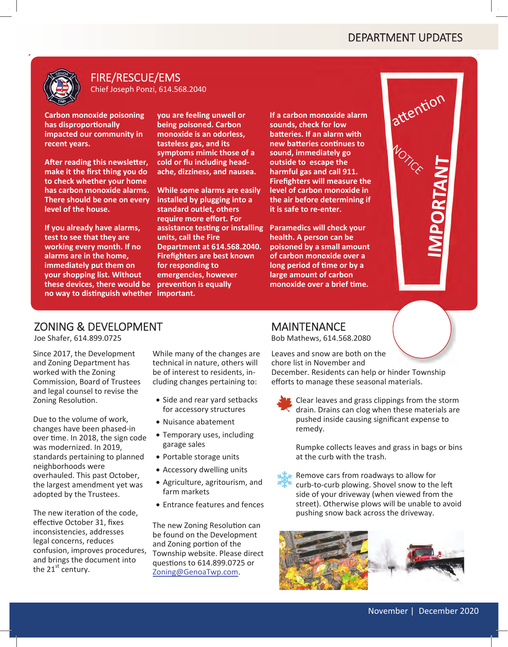

#### FIRE/RESCUE/EMS Chief Joseph Ponzi, 614.568.2040

**Carbon monoxide poisoning has disproporƟonally impacted our community in recent years.**

**AŌer reading this newsleƩer, make it the Įrst thing you do to check whether your home has carbon monoxide alarms. There should be one on every level of the house.**

**If you already have alarms, test to see that they are working every month. If no alarms are in the home, immediately put them on your shopping list. Without these devices, there would be no way to disƟnguish whether important.**

**you are feeling unwell or being poisoned. Carbon monoxide is an odorless, tasteless gas, and its symptoms mimic those of a cold or Ňu including headache, dizziness, and nausea.**

**While some alarms are easily installed by plugging into a standard outlet, others require more eīort. For assistance tesƟng or installing units, call the Fire Department at 614.568.2040. FireĮghters are best known for responding to emergencies, however prevenƟon is equally**

**If a carbon monoxide alarm sounds, check for low baƩeries. If an alarm with new batteries continues to sound, immediately go outside toescape the harmful gas and call 911. Firefighters will measure the level of carbon monoxide in the air before determining if it is safe to re-enter.**

**Paramedics will check your health. A person can be poisoned by a small amount of carbon monoxide over a long period ofƟme or by a large amount of carbon monoxide over a briefƟme.**



# ZONING & DEVELOPMENT

Joe Shafer, 614.899.0725

Since 2017, the Development and Zoning Department has worked with the Zoning Commission, Board of Trustees and legal counsel to revise the Zoning Resolution.

Due to the volume of work, changes have been phased-in over time. In 2018, the sign code was modernized. In 2019, standards pertaining to planned neighborhoods were overhauled. This past October, the largest amendment yet was adopted by the Trustees.

The new iteration of the code, effective October 31, fixes inconsistencies, addresses legal concerns, reduces confusion, improves procedures, and brings the document into the  $21^{st}$  century.

While many of the changes are technical in nature, others will be of interest to residents, including changes pertaining to:

- Side and rear yard setbacks for accessory structures
- Nuisance abatement
- Temporary uses, including garage sales
- Portable storage units
- Accessory dwelling units
- Agriculture, agritourism, and farm markets
- Entrance features and fences

The new Zoning Resolution can be found on the Development and Zoning portion of the Township website. Please direct quesƟons to 614.899.0725 or Zoning@GenoaTwp.com.

#### MAINTENANCE

Bob Mathews, 614.568.2080

Leaves and snow are both on the chore list in November and December. Residents can help or hinder Township efforts to manage these seasonal materials.

Clear leaves and grass clippings from the storm drain. Drains can clog when these materials are pushed inside causing significant expense to remedy.

Rumpke collects leaves and grass in bags or bins at the curb with the trash.



Remove cars from roadways to allow for curb-to-curb plowing. Shovel snow to the left side of your driveway (when viewed from the street). Otherwise plows will be unable to avoid pushing snow back across the driveway.